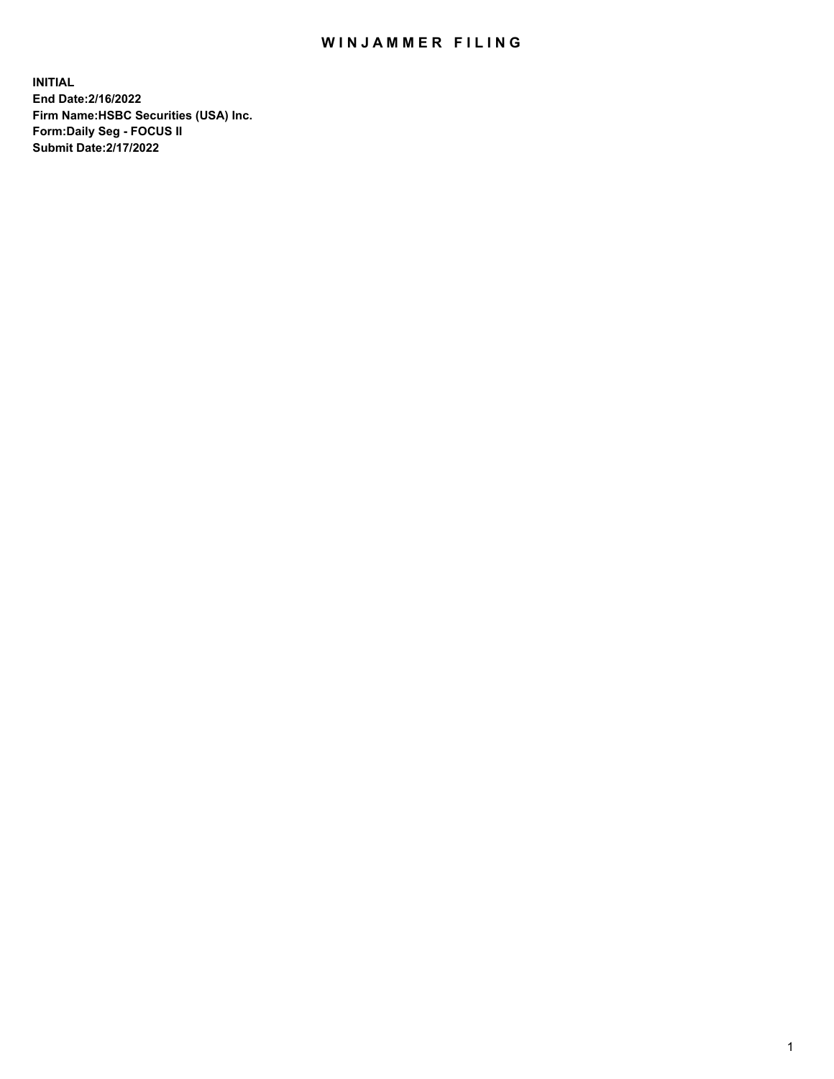## WIN JAMMER FILING

**INITIAL End Date:2/16/2022 Firm Name:HSBC Securities (USA) Inc. Form:Daily Seg - FOCUS II Submit Date:2/17/2022**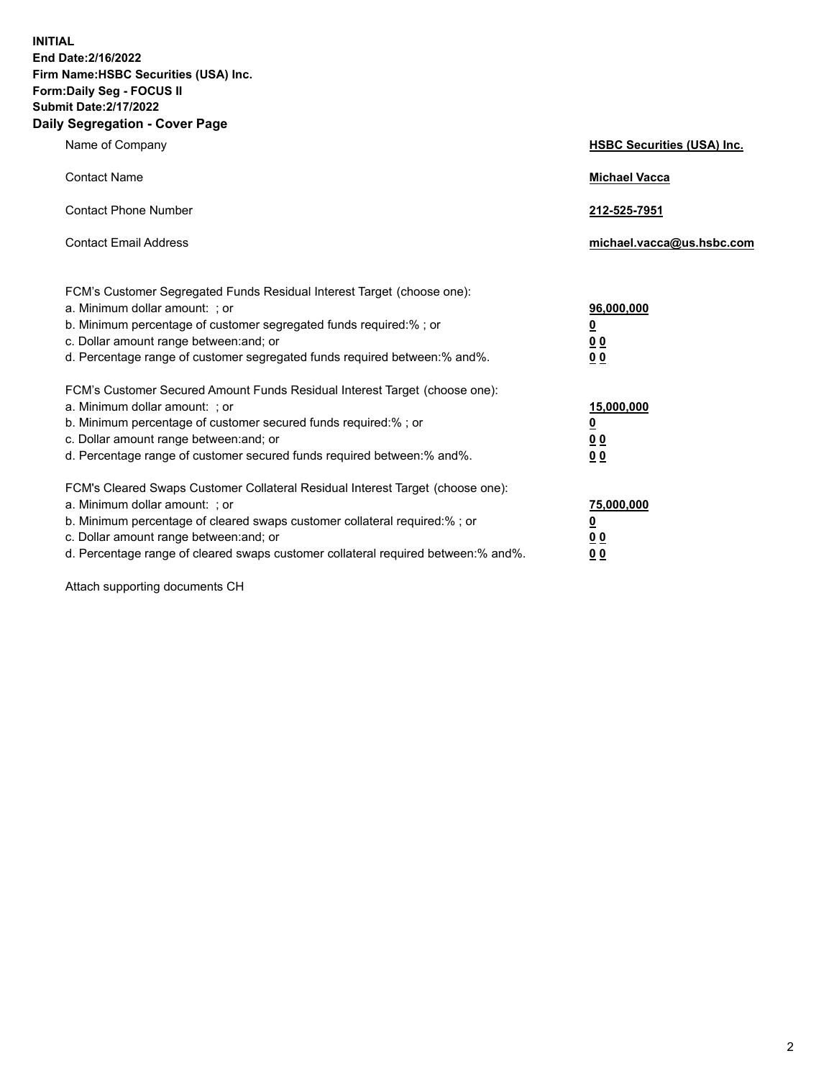**INITIAL End Date:2/16/2022 Firm Name:HSBC Securities (USA) Inc. Form:Daily Seg - FOCUS II Submit Date:2/17/2022 Daily Segregation - Cover Page**

| Name of Company                                                                                                                                                                                                                                                                                                                | <b>HSBC Securities (USA) Inc.</b>                                          |
|--------------------------------------------------------------------------------------------------------------------------------------------------------------------------------------------------------------------------------------------------------------------------------------------------------------------------------|----------------------------------------------------------------------------|
| <b>Contact Name</b>                                                                                                                                                                                                                                                                                                            | <b>Michael Vacca</b>                                                       |
| <b>Contact Phone Number</b>                                                                                                                                                                                                                                                                                                    | 212-525-7951                                                               |
| <b>Contact Email Address</b>                                                                                                                                                                                                                                                                                                   | michael.vacca@us.hsbc.com                                                  |
| FCM's Customer Segregated Funds Residual Interest Target (choose one):<br>a. Minimum dollar amount: ; or<br>b. Minimum percentage of customer segregated funds required:%; or<br>c. Dollar amount range between: and; or<br>d. Percentage range of customer segregated funds required between: % and %.                        | 96,000,000<br>$\underline{\mathbf{0}}$<br>0 <sub>0</sub><br>0 <sub>0</sub> |
| FCM's Customer Secured Amount Funds Residual Interest Target (choose one):<br>a. Minimum dollar amount: ; or<br>b. Minimum percentage of customer secured funds required:%; or<br>c. Dollar amount range between: and; or<br>d. Percentage range of customer secured funds required between: % and %.                          | 15,000,000<br><u>0</u><br>0 <sub>0</sub><br>0 <sub>0</sub>                 |
| FCM's Cleared Swaps Customer Collateral Residual Interest Target (choose one):<br>a. Minimum dollar amount: ; or<br>b. Minimum percentage of cleared swaps customer collateral required:% ; or<br>c. Dollar amount range between: and; or<br>d. Percentage range of cleared swaps customer collateral required between:% and%. | 75,000,000<br><u>0</u><br><u>00</u><br>00                                  |

Attach supporting documents CH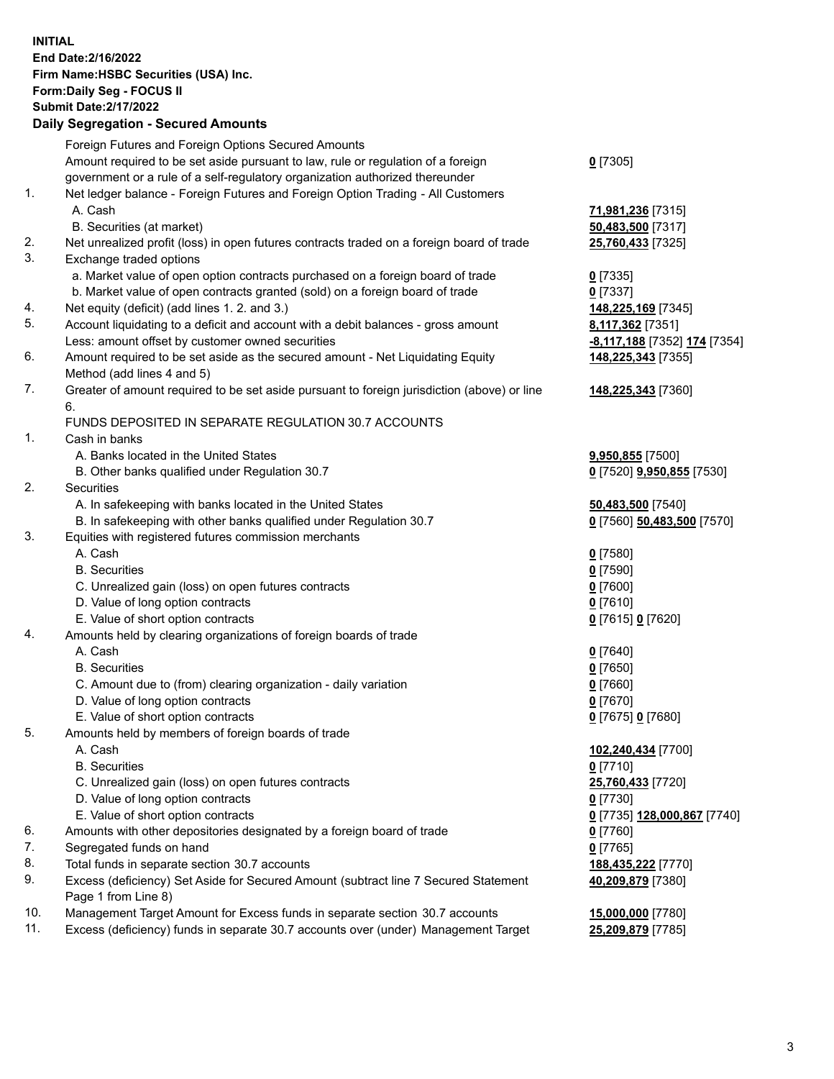**INITIAL End Date:2/16/2022 Firm Name:HSBC Securities (USA) Inc. Form:Daily Seg - FOCUS II Submit Date:2/17/2022 Daily Segregation - Secured Amounts** Foreign Futures and Foreign Options Secured Amounts Amount required to be set aside pursuant to law, rule or regulation of a foreign government or a rule of a self-regulatory organization authorized thereunder 1. Net ledger balance - Foreign Futures and Foreign Option Trading - All Customers A. Cash **71,981,236** [7315] B. Securities (at market) **50,483,500** [7317] 2. Net unrealized profit (loss) in open futures contracts traded on a foreign board of trade **25,760,433** [7325] 3. Exchange traded options a. Market value of open option contracts purchased on a foreign board of trade **0** [7335] b. Market value of open contracts granted (sold) on a foreign board of trade **0** [7337] 4. Net equity (deficit) (add lines 1. 2. and 3.) **148,225,169** [7345] 5. Account liquidating to a deficit and account with a debit balances - gross amount **8,117,362** [7351] Less: amount offset by customer owned securities **-8,117,188** [7352] **174** [7354] 6. Amount required to be set aside as the secured amount - Net Liquidating Equity Method (add lines 4 and 5) 7. Greater of amount required to be set aside pursuant to foreign jurisdiction (above) or line 6. FUNDS DEPOSITED IN SEPARATE REGULATION 30.7 ACCOUNTS 1. Cash in banks A. Banks located in the United States **9,950,855** [7500] B. Other banks qualified under Regulation 30.7 **0** [7520] **9,950,855** [7530] 2. Securities A. In safekeeping with banks located in the United States **50,483,500** [7540] B. In safekeeping with other banks qualified under Regulation 30.7 **0** [7560] **50,483,500** [7570] 3. Equities with registered futures commission merchants A. Cash **0** [7580] B. Securities **0** [7590] C. Unrealized gain (loss) on open futures contracts **0** [7600]

- D. Value of long option contracts **0** [7610] E. Value of short option contracts **0** [7615] **0** [7620]
- 4. Amounts held by clearing organizations of foreign boards of trade
	- A. Cash **0** [7640]
	- B. Securities **0** [7650]
	- C. Amount due to (from) clearing organization daily variation **0** [7660]
	- D. Value of long option contracts **0** [7670]
	- E. Value of short option contracts **0** [7675] **0** [7680]
- 5. Amounts held by members of foreign boards of trade
	- A. Cash **102,240,434** [7700]
	- B. Securities **0** [7710]
	- C. Unrealized gain (loss) on open futures contracts **25,760,433** [7720]
	- D. Value of long option contracts **0** [7730]
	- E. Value of short option contracts **0** [7735] **128,000,867** [7740]
- 6. Amounts with other depositories designated by a foreign board of trade **0** [7760]
- 7. Segregated funds on hand **0** [7765]
- 8. Total funds in separate section 30.7 accounts **188,435,222** [7770]
- 9. Excess (deficiency) Set Aside for Secured Amount (subtract line 7 Secured Statement Page 1 from Line 8)
- 10. Management Target Amount for Excess funds in separate section 30.7 accounts **15,000,000** [7780]
- 11. Excess (deficiency) funds in separate 30.7 accounts over (under) Management Target **25,209,879** [7785]

**0** [7305]

**148,225,343** [7355]

**148,225,343** [7360]

**40,209,879** [7380]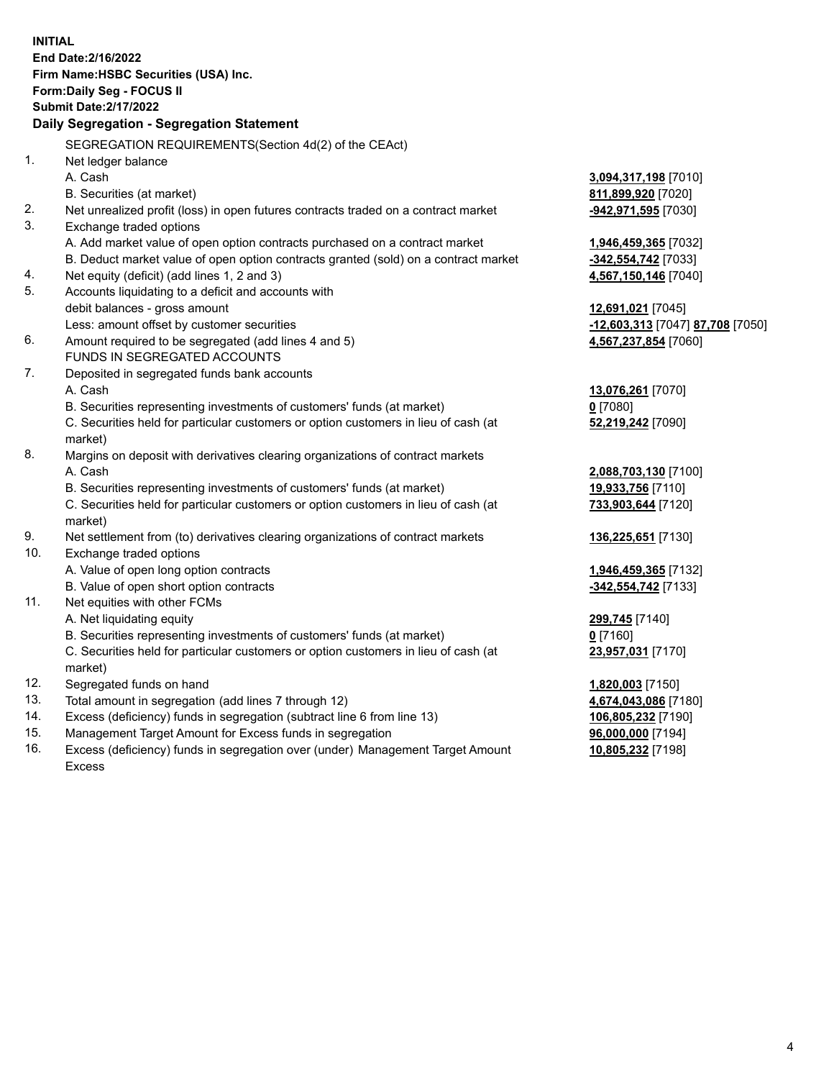**INITIAL End Date:2/16/2022 Firm Name:HSBC Securities (USA) Inc. Form:Daily Seg - FOCUS II Submit Date:2/17/2022 Daily Segregation - Segregation Statement** SEGREGATION REQUIREMENTS(Section 4d(2) of the CEAct) 1. Net ledger balance A. Cash **3,094,317,198** [7010] B. Securities (at market) **811,899,920** [7020] 2. Net unrealized profit (loss) in open futures contracts traded on a contract market **-942,971,595** [7030] 3. Exchange traded options A. Add market value of open option contracts purchased on a contract market **1,946,459,365** [7032] B. Deduct market value of open option contracts granted (sold) on a contract market **-342,554,742** [7033] 4. Net equity (deficit) (add lines 1, 2 and 3) **4,567,150,146** [7040] 5. Accounts liquidating to a deficit and accounts with debit balances - gross amount **12,691,021** [7045] Less: amount offset by customer securities **-12,603,313** [7047] **87,708** [7050] 6. Amount required to be segregated (add lines 4 and 5) **4,567,237,854** [7060] FUNDS IN SEGREGATED ACCOUNTS 7. Deposited in segregated funds bank accounts A. Cash **13,076,261** [7070] B. Securities representing investments of customers' funds (at market) **0** [7080] C. Securities held for particular customers or option customers in lieu of cash (at market) **52,219,242** [7090] 8. Margins on deposit with derivatives clearing organizations of contract markets A. Cash **2,088,703,130** [7100] B. Securities representing investments of customers' funds (at market) **19,933,756** [7110] C. Securities held for particular customers or option customers in lieu of cash (at market) **733,903,644** [7120] 9. Net settlement from (to) derivatives clearing organizations of contract markets **136,225,651** [7130] 10. Exchange traded options A. Value of open long option contracts **1,946,459,365** [7132] B. Value of open short option contracts **-342,554,742** [7133] 11. Net equities with other FCMs A. Net liquidating equity **299,745** [7140] B. Securities representing investments of customers' funds (at market) **0** [7160] C. Securities held for particular customers or option customers in lieu of cash (at market) **23,957,031** [7170] 12. Segregated funds on hand **1,820,003** [7150] 13. Total amount in segregation (add lines 7 through 12) **4,674,043,086** [7180] 14. Excess (deficiency) funds in segregation (subtract line 6 from line 13) **106,805,232** [7190] 15. Management Target Amount for Excess funds in segregation **96,000,000** [7194] 16. Excess (deficiency) funds in segregation over (under) Management Target Amount **10,805,232** [7198]

Excess